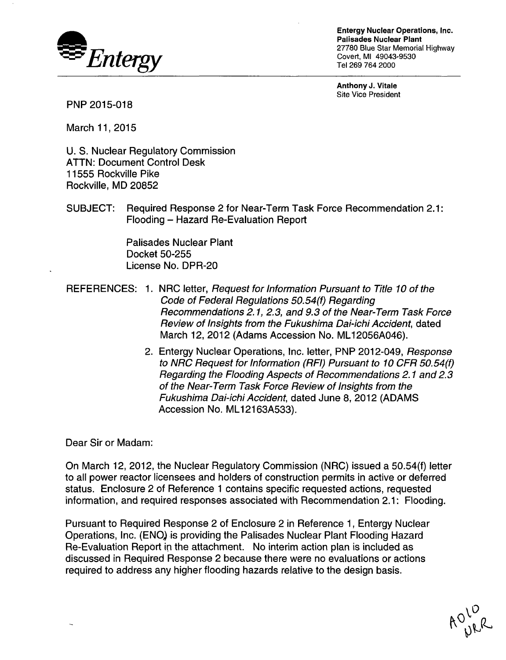

Entergy Nuclear Operations, Inc. Palisades Nuclear Plant 27780 Blue Star Memorial Highway Covert, MI 49043-9530 Tel 269 764 2000

Anthony **J.** Vitale Site Vice President

PNP 2015-018

March 11,2015

U. S. Nuclear Regulatory Commission ATTN: Document Control Desk 11555 Rockville Pike Rockville, MD 20852

SUBJECT: Required Response 2 for Near-Term Task Force Recommendation 2.1: Flooding - Hazard Re-Evaluation Report

> Palisades Nuclear Plant Docket 50-255 License No. DPR-20

- REFERENCES: 1. NRC letter, *Request for Information Pursuant to Title 10 of the Code of Federal Regulations 50.54(f) Regarding Recommendations 2.1, 2.3, and 9.3 of the Near-Term Task Force Review of Insights from the Fukushima Dai-ichi Accident,* dated March 12, 2012 (Adams Accession No. ML12056A046).
	- 2. Entergy Nuclear Operations, Inc. letter, PNP 2012-049, *Response to NRC Request for Information (RFI) Pursuant to 10 CFR 50.54(f) Regarding the Flooding Aspects of Recommendations 2.1 and 2.3 of the Near-Term Task Force Review of Insights from the Fukushima Dai-ichi Accident,* dated June 8, 2012 (ADAMS Accession No. ML12163A533).

Dear Sir or Madam:

On March 12, 2012, the Nuclear Regulatory Commission (NRC) issued a 50.54(f) letter to all power reactor licensees and holders of construction permits in active or deferred status. Enclosure 2 of Reference 1 contains specific requested actions, requested information, and required responses associated with Recommendation 2.1: Flooding.

Pursuant to Required Response 2 of Enclosure 2 in Reference 1, Entergy Nuclear Operations, Inc. (ENO) is providing the Palisades Nuclear Plant Flooding Hazard Re-Evaluation Report in the attachment. No interim action plan is included as discussed in Required Response 2 because there were no evaluations or actions required to address any higher flooding hazards relative to the design basis.

ADLD<br>ADLD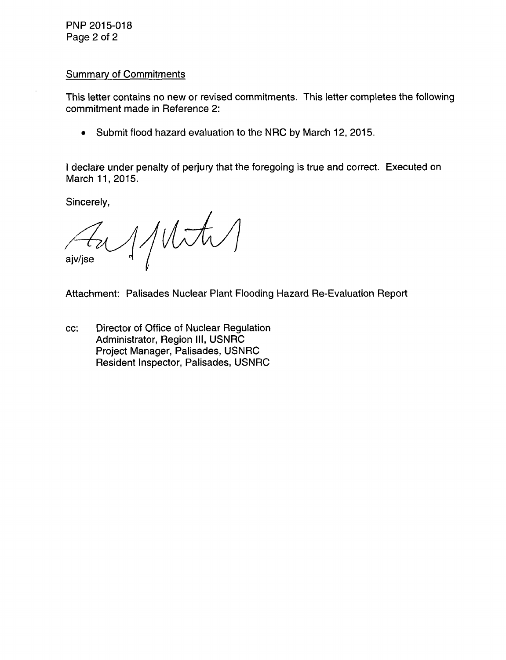PNP 2015-018 Page 2 of 2

## Summary of Commitments

This letter contains no new or revised commitments. This letter completes the following commitment made in Reference 2:

**0** Submit flood hazard evaluation to the NRC by March 12, 2015.

I declare under penalty of perjury that the foregoing is true and correct. Executed on March 11,2015.

Sincerely,

 $1/10t$ ajv/jse

Attachment: Palisades Nuclear Plant Flooding Hazard Re-Evaluation Report

cc: Director of Office of Nuclear Regulation Administrator, Region III, USNRC Project Manager, Palisades, USNRC Resident Inspector, Palisades, USNRC